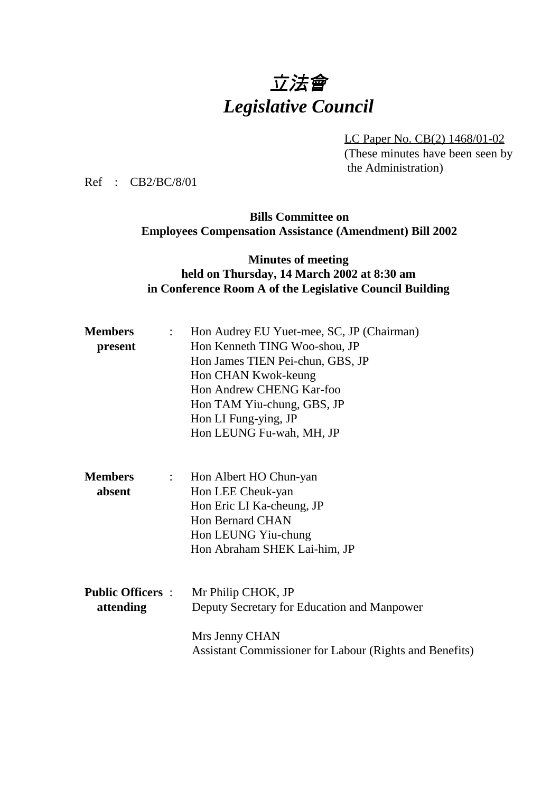# 立法會 *Legislative Council*

LC Paper No. CB(2) 1468/01-02 (These minutes have been seen by the Administration)

Ref : CB2/BC/8/01

# **Bills Committee on Employees Compensation Assistance (Amendment) Bill 2002**

### **Minutes of meeting held on Thursday, 14 March 2002 at 8:30 am in Conference Room A of the Legislative Council Building**

| <b>Members</b>                              | Hon Audrey EU Yuet-mee, SC, JP (Chairman)               |  |  |
|---------------------------------------------|---------------------------------------------------------|--|--|
| present                                     | Hon Kenneth TING Woo-shou, JP                           |  |  |
|                                             | Hon James TIEN Pei-chun, GBS, JP                        |  |  |
|                                             | Hon CHAN Kwok-keung                                     |  |  |
|                                             | Hon Andrew CHENG Kar-foo                                |  |  |
|                                             | Hon TAM Yiu-chung, GBS, JP                              |  |  |
|                                             | Hon LI Fung-ying, JP                                    |  |  |
|                                             | Hon LEUNG Fu-wah, MH, JP                                |  |  |
| <b>Members</b><br>$\mathbb{Z}^{\mathbb{Z}}$ | Hon Albert HO Chun-yan                                  |  |  |
| absent                                      | Hon LEE Cheuk-yan                                       |  |  |
|                                             | Hon Eric LI Ka-cheung, JP                               |  |  |
|                                             | <b>Hon Bernard CHAN</b>                                 |  |  |
|                                             | Hon LEUNG Yiu-chung                                     |  |  |
|                                             | Hon Abraham SHEK Lai-him, JP                            |  |  |
| <b>Public Officers :</b>                    | Mr Philip CHOK, JP                                      |  |  |
| attending                                   | Deputy Secretary for Education and Manpower             |  |  |
|                                             | Mrs Jenny CHAN                                          |  |  |
|                                             | Assistant Commissioner for Labour (Rights and Benefits) |  |  |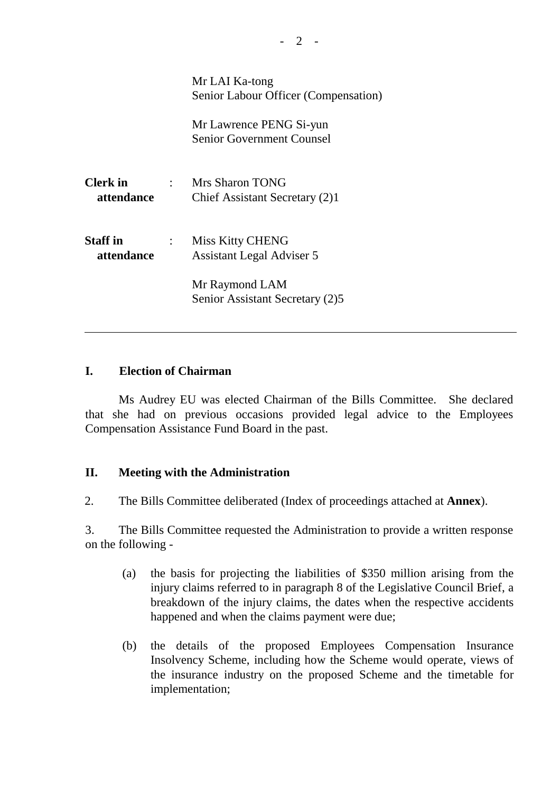|                               |                           | Mr LAI Ka-tong<br>Senior Labour Officer (Compensation)      |
|-------------------------------|---------------------------|-------------------------------------------------------------|
|                               |                           | Mr Lawrence PENG Si-yun<br><b>Senior Government Counsel</b> |
| <b>Clerk</b> in<br>attendance |                           | : Mrs Sharon TONG<br>Chief Assistant Secretary (2)1         |
| <b>Staff</b> in<br>attendance | $\mathbb{R}^{\mathbb{Z}}$ | <b>Miss Kitty CHENG</b><br>Assistant Legal Adviser 5        |
|                               |                           | Mr Raymond LAM<br>Senior Assistant Secretary (2)5           |

#### **I. Election of Chairman**

ı

Ms Audrey EU was elected Chairman of the Bills Committee. She declared that she had on previous occasions provided legal advice to the Employees Compensation Assistance Fund Board in the past.

#### **II. Meeting with the Administration**

2. The Bills Committee deliberated (Index of proceedings attached at **Annex**).

3. The Bills Committee requested the Administration to provide a written response on the following -

- (a) the basis for projecting the liabilities of \$350 million arising from the injury claims referred to in paragraph 8 of the Legislative Council Brief, a breakdown of the injury claims, the dates when the respective accidents happened and when the claims payment were due;
- (b) the details of the proposed Employees Compensation Insurance Insolvency Scheme, including how the Scheme would operate, views of the insurance industry on the proposed Scheme and the timetable for implementation;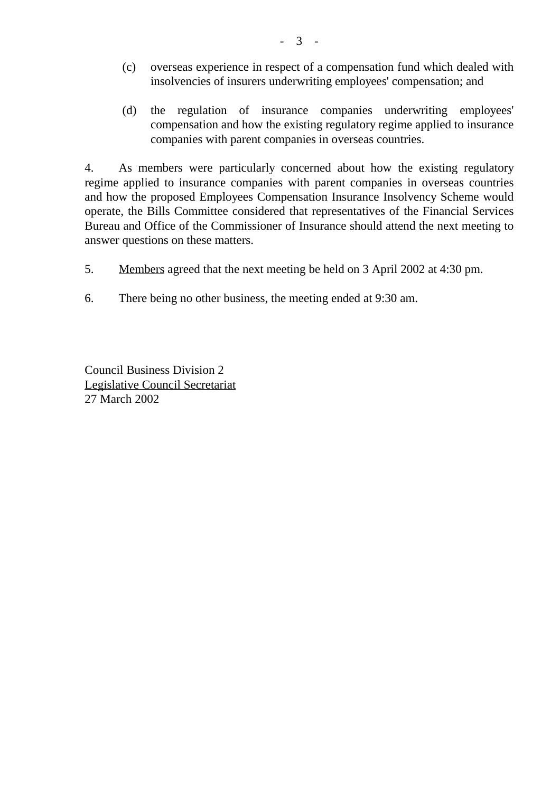- (c) overseas experience in respect of a compensation fund which dealed with insolvencies of insurers underwriting employees' compensation; and
- (d) the regulation of insurance companies underwriting employees' compensation and how the existing regulatory regime applied to insurance companies with parent companies in overseas countries.

4. As members were particularly concerned about how the existing regulatory regime applied to insurance companies with parent companies in overseas countries and how the proposed Employees Compensation Insurance Insolvency Scheme would operate, the Bills Committee considered that representatives of the Financial Services Bureau and Office of the Commissioner of Insurance should attend the next meeting to answer questions on these matters.

- 5. Members agreed that the next meeting be held on 3 April 2002 at 4:30 pm.
- 6. There being no other business, the meeting ended at 9:30 am.

Council Business Division 2 Legislative Council Secretariat 27 March 2002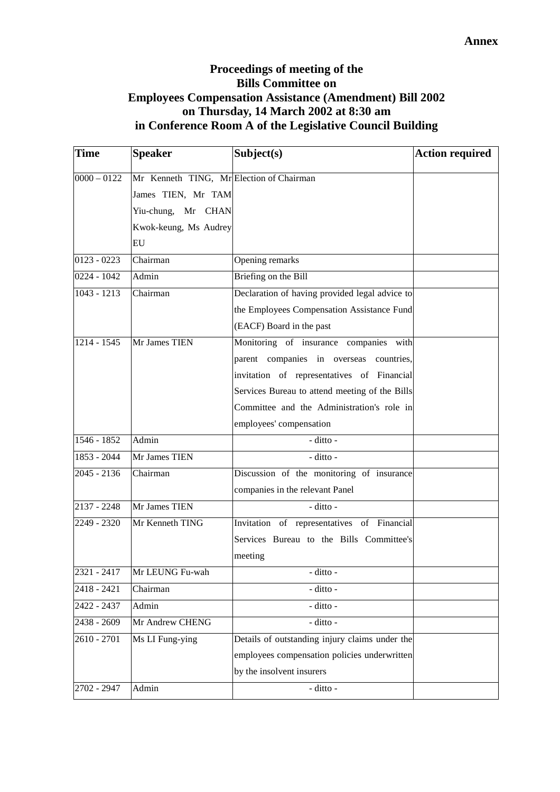# **Proceedings of meeting of the Bills Committee on Employees Compensation Assistance (Amendment) Bill 2002 on Thursday, 14 March 2002 at 8:30 am in Conference Room A of the Legislative Council Building**

| Time          | <b>Speaker</b>                           | Subject(s)                                     | <b>Action required</b> |
|---------------|------------------------------------------|------------------------------------------------|------------------------|
| $0000 - 0122$ | Mr Kenneth TING, Mr Election of Chairman |                                                |                        |
|               | James TIEN, Mr TAM                       |                                                |                        |
|               | Yiu-chung, Mr CHAN                       |                                                |                        |
|               | Kwok-keung, Ms Audrey                    |                                                |                        |
|               | EU                                       |                                                |                        |
| $0123 - 0223$ | Chairman                                 | Opening remarks                                |                        |
| 0224 - 1042   | Admin                                    | Briefing on the Bill                           |                        |
| 1043 - 1213   | Chairman                                 | Declaration of having provided legal advice to |                        |
|               |                                          | the Employees Compensation Assistance Fund     |                        |
|               |                                          | (EACF) Board in the past                       |                        |
| 1214 - 1545   | Mr James TIEN                            | Monitoring of insurance companies with         |                        |
|               |                                          | parent companies in overseas<br>countries,     |                        |
|               |                                          | invitation of representatives of Financial     |                        |
|               |                                          | Services Bureau to attend meeting of the Bills |                        |
|               |                                          | Committee and the Administration's role in     |                        |
|               |                                          | employees' compensation                        |                        |
| $1546 - 1852$ | Admin                                    | - ditto -                                      |                        |
| 1853 - 2044   | Mr James TIEN                            | - ditto -                                      |                        |
| $2045 - 2136$ | $\overline{\text{Chairman}}$             | Discussion of the monitoring of insurance      |                        |
|               |                                          | companies in the relevant Panel                |                        |
| $2137 - 2248$ | Mr James TIEN                            | - ditto -                                      |                        |
| 2249 - 2320   | Mr Kenneth TING                          | Invitation of representatives of Financial     |                        |
|               |                                          | Services Bureau to the Bills Committee's       |                        |
|               |                                          | meeting                                        |                        |
| 2321 - 2417   | Mr LEUNG Fu-wah                          | - ditto -                                      |                        |
| 2418 - 2421   | Chairman                                 | - ditto -                                      |                        |
| 2422 - 2437   | Admin                                    | - ditto -                                      |                        |
| 2438 - 2609   | Mr Andrew CHENG                          | - ditto -                                      |                        |
| 2610 - 2701   | Ms LI Fung-ying                          | Details of outstanding injury claims under the |                        |
|               |                                          | employees compensation policies underwritten   |                        |
|               |                                          | by the insolvent insurers                      |                        |
| 2702 - 2947   | Admin                                    | - ditto -                                      |                        |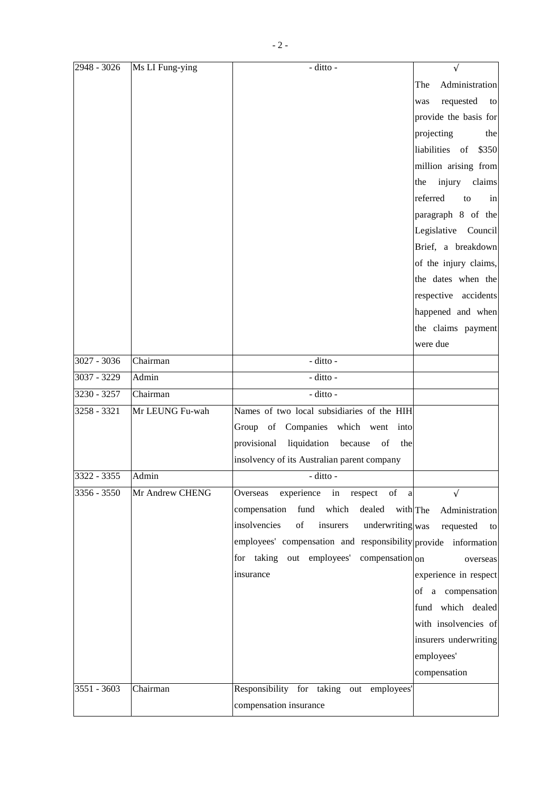| 2948 - 3026 | Ms LI Fung-ying | - ditto -                                                      | $\sqrt{}$                  |
|-------------|-----------------|----------------------------------------------------------------|----------------------------|
|             |                 |                                                                | Administration<br>The      |
|             |                 |                                                                | requested<br>to<br>was     |
|             |                 |                                                                | provide the basis for      |
|             |                 |                                                                | projecting<br>the          |
|             |                 |                                                                | liabilities of<br>\$350    |
|             |                 |                                                                | million arising from       |
|             |                 |                                                                | injury claims<br>the       |
|             |                 |                                                                | referred<br>to<br>in       |
|             |                 |                                                                | paragraph 8 of the         |
|             |                 |                                                                | Legislative Council        |
|             |                 |                                                                | Brief, a breakdown         |
|             |                 |                                                                | of the injury claims,      |
|             |                 |                                                                | the dates when the         |
|             |                 |                                                                | respective accidents       |
|             |                 |                                                                | happened and when          |
|             |                 |                                                                | the claims payment         |
|             |                 |                                                                | were due                   |
| 3027 - 3036 | Chairman        | - ditto -                                                      |                            |
| 3037 - 3229 | Admin           | - ditto -                                                      |                            |
| 3230 - 3257 | Chairman        | - ditto -                                                      |                            |
| 3258 - 3321 | Mr LEUNG Fu-wah | Names of two local subsidiaries of the HIH                     |                            |
|             |                 | Group of Companies which went<br>into                          |                            |
|             |                 | liquidation<br>because<br>provisional<br>of<br>the             |                            |
|             |                 | insolvency of its Australian parent company                    |                            |
| 3322 - 3355 | Admin           | - ditto -                                                      |                            |
| 3356 - 3550 | Mr Andrew CHENG | experience in respect<br>Overseas<br>of<br>a                   |                            |
|             |                 | which<br>compensation<br>fund<br>dealed                        | with The<br>Administration |
|             |                 | insolvencies<br>insurers<br>underwriting was<br>of             | requested<br>to            |
|             |                 | employees' compensation and responsibility provide information |                            |
|             |                 | for taking out employees'<br>compensation on                   | overseas                   |
|             |                 | insurance                                                      | experience in respect      |
|             |                 |                                                                | of a compensation          |
|             |                 |                                                                | fund which dealed          |
|             |                 |                                                                | with insolvencies of       |
|             |                 |                                                                | insurers underwriting      |
|             |                 |                                                                | employees'                 |
|             |                 |                                                                | compensation               |
| 3551 - 3603 | Chairman        | Responsibility for taking out employees'                       |                            |
|             |                 | compensation insurance                                         |                            |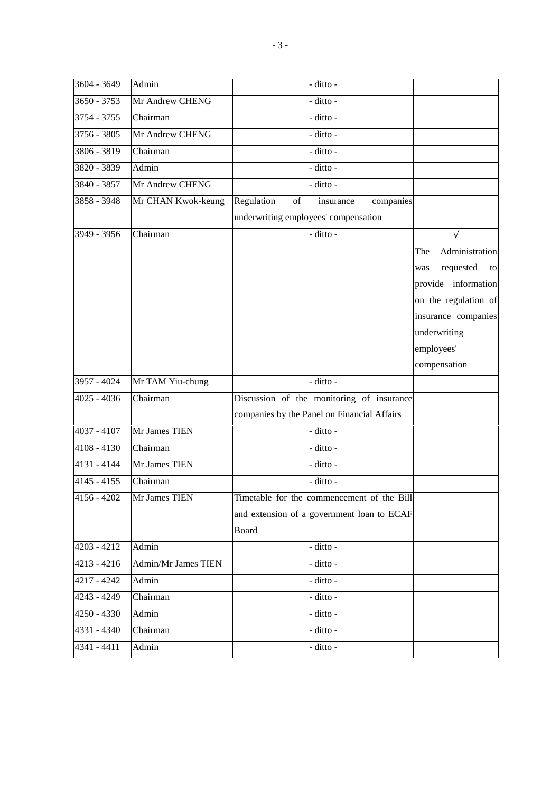| 3604 - 3649   | Admin               | - ditto -                                   |                        |
|---------------|---------------------|---------------------------------------------|------------------------|
| $3650 - 3753$ | Mr Andrew CHENG     | - ditto -                                   |                        |
| 3754 - 3755   | Chairman            | - ditto -                                   |                        |
| 3756 - 3805   | Mr Andrew CHENG     | - ditto -                                   |                        |
| 3806 - 3819   | Chairman            | - ditto -                                   |                        |
| 3820 - 3839   | Admin               | - ditto -                                   |                        |
| 3840 - 3857   | Mr Andrew CHENG     | - ditto -                                   |                        |
| 3858 - 3948   | Mr CHAN Kwok-keung  | Regulation<br>of<br>insurance<br>companies  |                        |
|               |                     | underwriting employees' compensation        |                        |
| 3949 - 3956   | Chairman            | - ditto -                                   | $\sqrt{}$              |
|               |                     |                                             | Administration<br>The  |
|               |                     |                                             | requested<br>to<br>was |
|               |                     |                                             | provide information    |
|               |                     |                                             | on the regulation of   |
|               |                     |                                             | insurance companies    |
|               |                     |                                             | underwriting           |
|               |                     |                                             | employees'             |
|               |                     |                                             | compensation           |
| 3957 - 4024   | Mr TAM Yiu-chung    | - ditto -                                   |                        |
| $4025 - 4036$ | Chairman            | Discussion of the monitoring of insurance   |                        |
|               |                     | companies by the Panel on Financial Affairs |                        |
| $4037 - 4107$ | Mr James TIEN       | - ditto -                                   |                        |
| $4108 - 4130$ | Chairman            | - ditto -                                   |                        |
| 4131 - 4144   | Mr James TIEN       | - ditto -                                   |                        |
| $4145 - 4155$ | Chairman            | - ditto -                                   |                        |
| $4156 - 4202$ | Mr James TIEN       | Timetable for the commencement of the Bill  |                        |
|               |                     | and extension of a government loan to ECAF  |                        |
|               |                     | Board                                       |                        |
| 4203 - 4212   | Admin               | - ditto -                                   |                        |
| $4213 - 4216$ | Admin/Mr James TIEN | - ditto -                                   |                        |
| 4217 - 4242   | Admin               | - ditto -                                   |                        |
| 4243 - 4249   | Chairman            | - ditto -                                   |                        |
| 4250 - 4330   | Admin               | - ditto -                                   |                        |
| 4331 - 4340   | Chairman            | - ditto -                                   |                        |
| 4341 - 4411   | Admin               | - ditto -                                   |                        |
|               |                     |                                             |                        |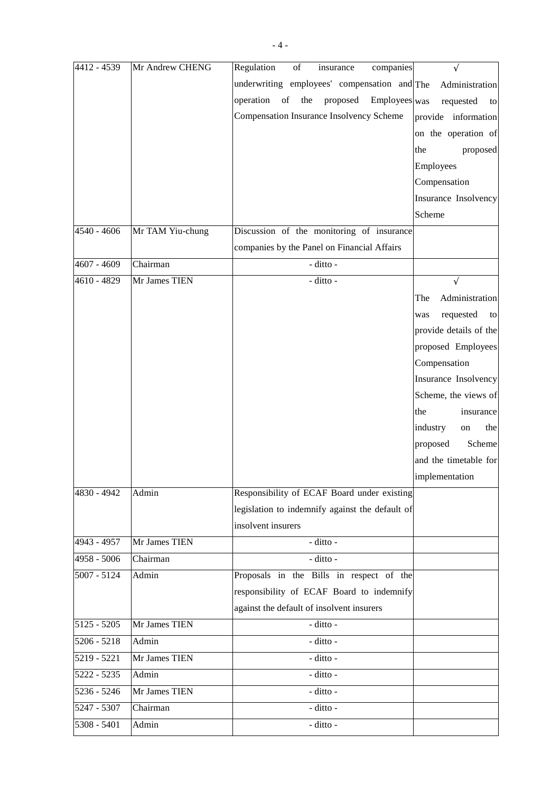| 4412 - 4539   | Mr Andrew CHENG  | $% \overline{a}$ of<br>Regulation<br>insurance<br>companies |                        |
|---------------|------------------|-------------------------------------------------------------|------------------------|
|               |                  | underwriting employees' compensation and The                | Administration         |
|               |                  | operation of the proposed Employees was                     | requested<br>to        |
|               |                  | Compensation Insurance Insolvency Scheme                    | provide information    |
|               |                  |                                                             | on the operation of    |
|               |                  |                                                             | the<br>proposed        |
|               |                  |                                                             | Employees              |
|               |                  |                                                             | Compensation           |
|               |                  |                                                             | Insurance Insolvency   |
|               |                  |                                                             | Scheme                 |
| 4540 - 4606   | Mr TAM Yiu-chung | Discussion of the monitoring of insurance                   |                        |
|               |                  | companies by the Panel on Financial Affairs                 |                        |
| 4607 - 4609   | Chairman         | - ditto -                                                   |                        |
| 4610 - 4829   | Mr James TIEN    | - ditto -                                                   | V                      |
|               |                  |                                                             | Administration<br>The  |
|               |                  |                                                             | requested<br>to<br>was |
|               |                  |                                                             | provide details of the |
|               |                  |                                                             | proposed Employees     |
|               |                  |                                                             | Compensation           |
|               |                  |                                                             | Insurance Insolvency   |
|               |                  |                                                             | Scheme, the views of   |
|               |                  |                                                             | the<br>insurance       |
|               |                  |                                                             | industry<br>the<br>on  |
|               |                  |                                                             | proposed<br>Scheme     |
|               |                  |                                                             | and the timetable for  |
|               |                  |                                                             | implementation         |
| 4830 - 4942   | Admin            | Responsibility of ECAF Board under existing                 |                        |
|               |                  | legislation to indemnify against the default of             |                        |
|               |                  | insolvent insurers                                          |                        |
| 4943 - 4957   | Mr James TIEN    | - ditto -                                                   |                        |
| $4958 - 5006$ | Chairman         | - ditto -                                                   |                        |
| $5007 - 5124$ | Admin            | Proposals in the Bills in respect of the                    |                        |
|               |                  | responsibility of ECAF Board to indemnify                   |                        |
|               |                  | against the default of insolvent insurers                   |                        |
| $5125 - 5205$ | Mr James TIEN    | - ditto -                                                   |                        |
| $5206 - 5218$ | Admin            | - ditto -                                                   |                        |
| 5219 - 5221   | Mr James TIEN    | - ditto -                                                   |                        |
| 5222 - 5235   | Admin            | - ditto -                                                   |                        |
| $5236 - 5246$ | Mr James TIEN    | - ditto -                                                   |                        |
| 5247 - 5307   | Chairman         | - ditto -                                                   |                        |
| 5308 - 5401   | Admin            | - ditto -                                                   |                        |